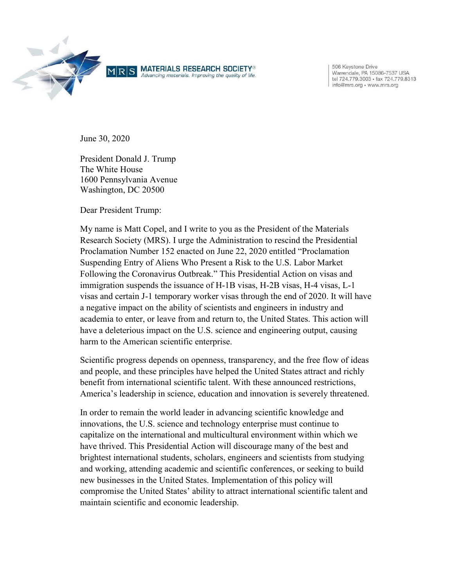

506 Keystone Drive Varrendale, PA 15086-7537 USA<br>tel 724.779.3003 • fax 724.779.8313 info@mrs.org • www.mrs.org

June 30, 2020

President Donald J. Trump The White House 1600 Pennsylvania Avenue Washington, DC 20500

Dear President Trump:

My name is Matt Copel, and I write to you as the President of the Materials Research Society (MRS). I urge the Administration to rescind the Presidential Proclamation Number 152 enacted on June 22, 2020 entitled "Proclamation Suspending Entry of Aliens Who Present a Risk to the U.S. Labor Market Following the Coronavirus Outbreak." This Presidential Action on visas and immigration suspends the issuance of H-1B visas, H-2B visas, H-4 visas, L-1 visas and certain J-1 temporary worker visas through the end of 2020. It will have a negative impact on the ability of scientists and engineers in industry and academia to enter, or leave from and return to, the United States. This action will have a deleterious impact on the U.S. science and engineering output, causing harm to the American scientific enterprise.

Scientific progress depends on openness, transparency, and the free flow of ideas and people, and these principles have helped the United States attract and richly benefit from international scientific talent. With these announced restrictions, America's leadership in science, education and innovation is severely threatened.

In order to remain the world leader in advancing scientific knowledge and innovations, the U.S. science and technology enterprise must continue to capitalize on the international and multicultural environment within which we have thrived. This Presidential Action will discourage many of the best and brightest international students, scholars, engineers and scientists from studying and working, attending academic and scientific conferences, or seeking to build new businesses in the United States. Implementation of this policy will compromise the United States' ability to attract international scientific talent and maintain scientific and economic leadership.